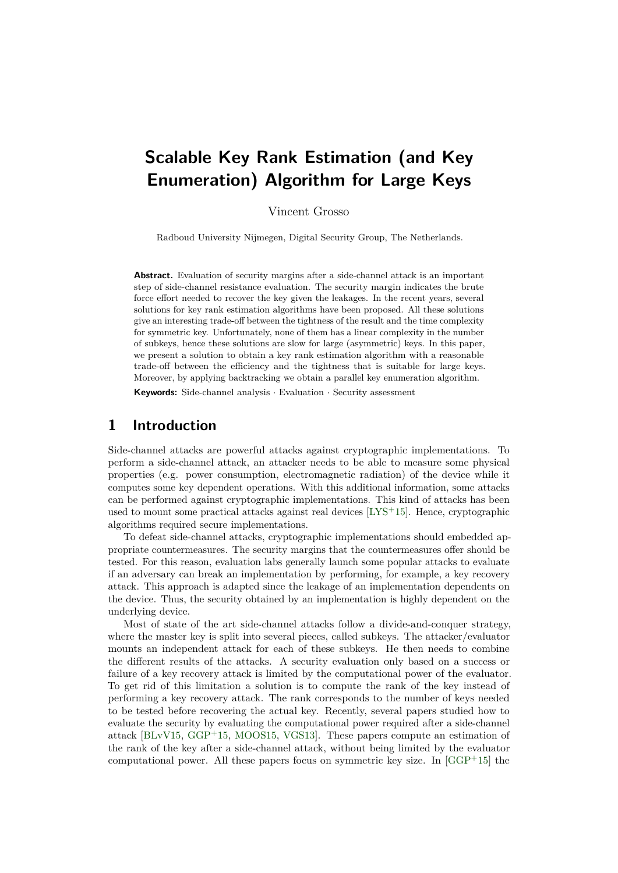# **Scalable Key Rank Estimation (and Key Enumeration) Algorithm for Large Keys**

Vincent Grosso

Radboud University Nijmegen, Digital Security Group, The Netherlands.

**Abstract.** Evaluation of security margins after a side-channel attack is an important step of side-channel resistance evaluation. The security margin indicates the brute force effort needed to recover the key given the leakages. In the recent years, several solutions for key rank estimation algorithms have been proposed. All these solutions give an interesting trade-off between the tightness of the result and the time complexity for symmetric key. Unfortunately, none of them has a linear complexity in the number of subkeys, hence these solutions are slow for large (asymmetric) keys. In this paper, we present a solution to obtain a key rank estimation algorithm with a reasonable trade-off between the efficiency and the tightness that is suitable for large keys. Moreover, by applying backtracking we obtain a parallel key enumeration algorithm.

**Keywords:** Side-channel analysis · Evaluation · Security assessment

# **1 Introduction**

Side-channel attacks are powerful attacks against cryptographic implementations. To perform a side-channel attack, an attacker needs to be able to measure some physical properties (e.g. power consumption, electromagnetic radiation) of the device while it computes some key dependent operations. With this additional information, some attacks can be performed against cryptographic implementations. This kind of attacks has been used to mount some practical attacks against real devices [\[LYS](#page-16-0)<sup>+</sup>15]. Hence, cryptographic algorithms required secure implementations.

To defeat side-channel attacks, cryptographic implementations should embedded appropriate countermeasures. The security margins that the countermeasures offer should be tested. For this reason, evaluation labs generally launch some popular attacks to evaluate if an adversary can break an implementation by performing, for example, a key recovery attack. This approach is adapted since the leakage of an implementation dependents on the device. Thus, the security obtained by an implementation is highly dependent on the underlying device.

Most of state of the art side-channel attacks follow a divide-and-conquer strategy, where the master key is split into several pieces, called subkeys. The attacker/evaluator mounts an independent attack for each of these subkeys. He then needs to combine the different results of the attacks. A security evaluation only based on a success or failure of a key recovery attack is limited by the computational power of the evaluator. To get rid of this limitation a solution is to compute the rank of the key instead of performing a key recovery attack. The rank corresponds to the number of keys needed to be tested before recovering the actual key. Recently, several papers studied how to evaluate the security by evaluating the computational power required after a side-channel attack [\[BLvV15,](#page-16-1) [GGP](#page-16-2)<sup>+</sup>15, [MOOS15,](#page-17-0) [VGS13\]](#page-17-1). These papers compute an estimation of the rank of the key after a side-channel attack, without being limited by the evaluator computational power. All these papers focus on symmetric key size. In  $[GGP+15]$  $[GGP+15]$  the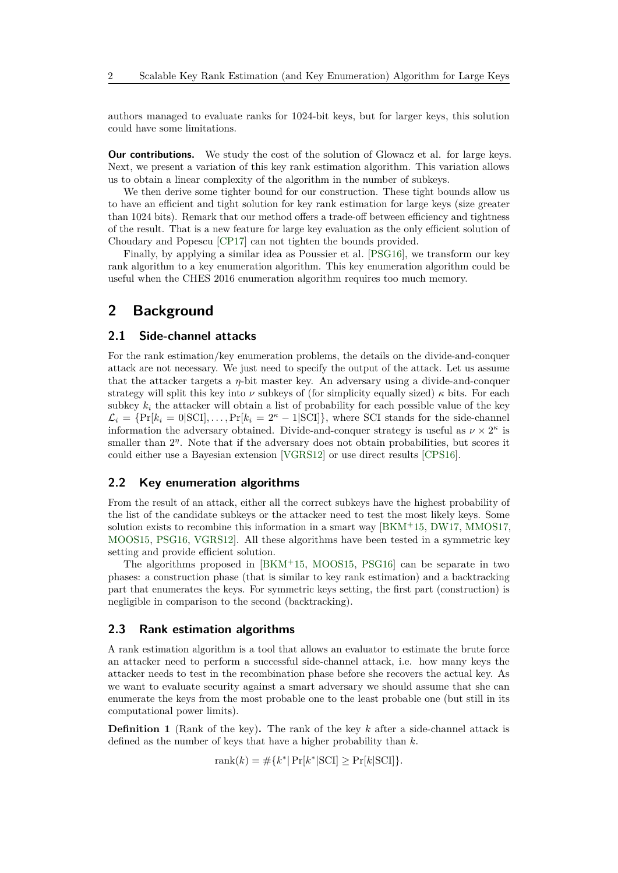authors managed to evaluate ranks for 1024-bit keys, but for larger keys, this solution could have some limitations.

**Our contributions.** We study the cost of the solution of Glowacz et al. for large keys. Next, we present a variation of this key rank estimation algorithm. This variation allows us to obtain a linear complexity of the algorithm in the number of subkeys.

We then derive some tighter bound for our construction. These tight bounds allow us to have an efficient and tight solution for key rank estimation for large keys (size greater than 1024 bits). Remark that our method offers a trade-off between efficiency and tightness of the result. That is a new feature for large key evaluation as the only efficient solution of Choudary and Popescu [\[CP17\]](#page-16-3) can not tighten the bounds provided.

Finally, by applying a similar idea as Poussier et al. [\[PSG16\]](#page-17-2), we transform our key rank algorithm to a key enumeration algorithm. This key enumeration algorithm could be useful when the CHES 2016 enumeration algorithm requires too much memory.

## **2 Background**

#### **2.1 Side-channel attacks**

For the rank estimation/key enumeration problems, the details on the divide-and-conquer attack are not necessary. We just need to specify the output of the attack. Let us assume that the attacker targets a *η*-bit master key. An adversary using a divide-and-conquer strategy will split this key into *ν* subkeys of (for simplicity equally sized)  $\kappa$  bits. For each subkey  $k_i$  the attacker will obtain a list of probability for each possible value of the key  $\mathcal{L}_i = \{ \Pr[k_i = 0 | \text{SCI}], \dots, \Pr[k_i = 2^{\kappa} - 1 | \text{SCI}] \}$ , where SCI stands for the side-channel information the adversary obtained. Divide-and-conquer strategy is useful as  $\nu \times 2^{\kappa}$  is smaller than  $2<sup>\eta</sup>$ . Note that if the adversary does not obtain probabilities, but scores it could either use a Bayesian extension [\[VGRS12\]](#page-17-3) or use direct results [\[CPS16\]](#page-16-4).

#### **2.2 Key enumeration algorithms**

From the result of an attack, either all the correct subkeys have the highest probability of the list of the candidate subkeys or the attacker need to test the most likely keys. Some solution exists to recombine this information in a smart way [\[BKM](#page-16-5)<sup>+</sup>15, [DW17,](#page-16-6) [MMOS17,](#page-17-4) [MOOS15,](#page-17-0) [PSG16,](#page-17-2) [VGRS12\]](#page-17-3). All these algorithms have been tested in a symmetric key setting and provide efficient solution.

The algorithms proposed in [\[BKM](#page-16-5)<sup>+</sup>15, [MOOS15,](#page-17-0) [PSG16\]](#page-17-2) can be separate in two phases: a construction phase (that is similar to key rank estimation) and a backtracking part that enumerates the keys. For symmetric keys setting, the first part (construction) is negligible in comparison to the second (backtracking).

#### **2.3 Rank estimation algorithms**

A rank estimation algorithm is a tool that allows an evaluator to estimate the brute force an attacker need to perform a successful side-channel attack, i.e. how many keys the attacker needs to test in the recombination phase before she recovers the actual key. As we want to evaluate security against a smart adversary we should assume that she can enumerate the keys from the most probable one to the least probable one (but still in its computational power limits).

**Definition 1** (Rank of the key)**.** The rank of the key *k* after a side-channel attack is defined as the number of keys that have a higher probability than *k*.

 $rank(k) = #\{k^* | Pr[k^*|SCI] \geq Pr[k|SCI]\}.$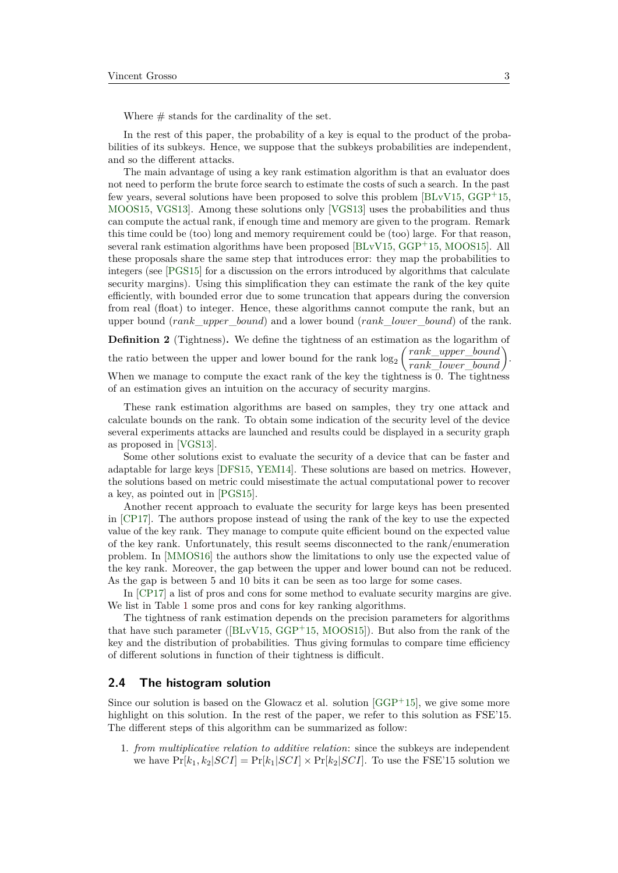Where  $\#$  stands for the cardinality of the set.

In the rest of this paper, the probability of a key is equal to the product of the probabilities of its subkeys. Hence, we suppose that the subkeys probabilities are independent, and so the different attacks.

The main advantage of using a key rank estimation algorithm is that an evaluator does not need to perform the brute force search to estimate the costs of such a search. In the past few years, several solutions have been proposed to solve this problem [\[BLvV15,](#page-16-1) [GGP](#page-16-2)<sup>+</sup>15, [MOOS15,](#page-17-0) [VGS13\]](#page-17-1). Among these solutions only [\[VGS13\]](#page-17-1) uses the probabilities and thus can compute the actual rank, if enough time and memory are given to the program. Remark this time could be (too) long and memory requirement could be (too) large. For that reason, several rank estimation algorithms have been proposed [\[BLvV15,](#page-16-1) [GGP](#page-16-2)<sup>+</sup>15, [MOOS15\]](#page-17-0). All these proposals share the same step that introduces error: they map the probabilities to integers (see [\[PGS15\]](#page-17-5) for a discussion on the errors introduced by algorithms that calculate security margins). Using this simplification they can estimate the rank of the key quite efficiently, with bounded error due to some truncation that appears during the conversion from real (float) to integer. Hence, these algorithms cannot compute the rank, but an upper bound (*rank*\_*upper*\_*bound*) and a lower bound (*rank*\_*lower*\_*bound*) of the rank.

**Definition 2** (Tightness)**.** We define the tightness of an estimation as the logarithm of the ratio between the upper and lower bound for the rank  $log_2\left(\frac{rank\_upper\_bound}{rank\_lower\_bound}\right)$ . When we manage to compute the exact rank of the key the tightness is 0. The tightness of an estimation gives an intuition on the accuracy of security margins.

These rank estimation algorithms are based on samples, they try one attack and calculate bounds on the rank. To obtain some indication of the security level of the device several experiments attacks are launched and results could be displayed in a security graph as proposed in [\[VGS13\]](#page-17-1).

Some other solutions exist to evaluate the security of a device that can be faster and adaptable for large keys [\[DFS15,](#page-16-7) [YEM14\]](#page-18-0). These solutions are based on metrics. However, the solutions based on metric could misestimate the actual computational power to recover a key, as pointed out in [\[PGS15\]](#page-17-5).

Another recent approach to evaluate the security for large keys has been presented in [\[CP17\]](#page-16-3). The authors propose instead of using the rank of the key to use the expected value of the key rank. They manage to compute quite efficient bound on the expected value of the key rank. Unfortunately, this result seems disconnected to the rank/enumeration problem. In [\[MMOS16\]](#page-17-6) the authors show the limitations to only use the expected value of the key rank. Moreover, the gap between the upper and lower bound can not be reduced. As the gap is between 5 and 10 bits it can be seen as too large for some cases.

In [\[CP17\]](#page-16-3) a list of pros and cons for some method to evaluate security margins are give. We list in Table [1](#page-3-0) some pros and cons for key ranking algorithms.

The tightness of rank estimation depends on the precision parameters for algorithms that have such parameter ( $[BLvV15, GGP+15, MOOS15]$  $[BLvV15, GGP+15, MOOS15]$  $[BLvV15, GGP+15, MOOS15]$  $[BLvV15, GGP+15, MOOS15]$  $[BLvV15, GGP+15, MOOS15]$ ). But also from the rank of the key and the distribution of probabilities. Thus giving formulas to compare time efficiency of different solutions in function of their tightness is difficult.

#### **2.4 The histogram solution**

Since our solution is based on the Glowacz et al. solution  $[GGP+15]$  $[GGP+15]$ , we give some more highlight on this solution. In the rest of the paper, we refer to this solution as FSE'15. The different steps of this algorithm can be summarized as follow:

1. *from multiplicative relation to additive relation*: since the subkeys are independent we have  $Pr[k_1, k_2|SCI] = Pr[k_1|SCI] \times Pr[k_2|SCI]$ . To use the FSE'15 solution we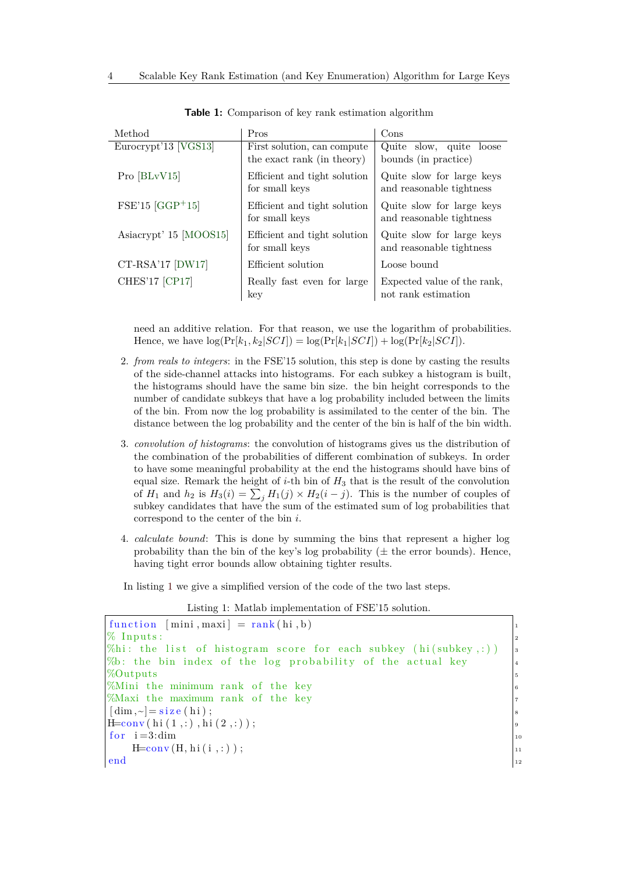<span id="page-3-0"></span>

| Method                         | Pros                         | Cons                        |
|--------------------------------|------------------------------|-----------------------------|
| Eurocrypt'13 [VGS13]           | First solution, can compute  | Quite slow, quite loose     |
|                                | the exact rank (in theory)   | bounds (in practice)        |
| Pro $ BLvV15 $                 | Efficient and tight solution | Quite slow for large keys   |
|                                | for small keys               | and reasonable tightness    |
| $FSE'15$ [GGP <sup>+</sup> 15] | Efficient and tight solution | Quite slow for large keys   |
|                                | for small keys               | and reasonable tightness    |
| Asiacrypt' 15 [MOOS15]         | Efficient and tight solution | Quite slow for large keys   |
|                                | for small keys               | and reasonable tightness    |
| $CT-RSA'17$ $(DW17)$           | Efficient solution           | Loose bound                 |
| <b>CHES'17 [CP17]</b>          | Really fast even for large   | Expected value of the rank, |
|                                | key                          | not rank estimation         |

**Table 1:** Comparison of key rank estimation algorithm

need an additive relation. For that reason, we use the logarithm of probabilities. Hence, we have  $\log(\Pr[k_1, k_2|SCI]) = \log(\Pr[k_1|SCI]) + \log(\Pr[k_2|SCI]).$ 

- 2. *from reals to integers*: in the FSE'15 solution, this step is done by casting the results of the side-channel attacks into histograms. For each subkey a histogram is built, the histograms should have the same bin size. the bin height corresponds to the number of candidate subkeys that have a log probability included between the limits of the bin. From now the log probability is assimilated to the center of the bin. The distance between the log probability and the center of the bin is half of the bin width.
- <span id="page-3-2"></span>3. *convolution of histograms*: the convolution of histograms gives us the distribution of the combination of the probabilities of different combination of subkeys. In order to have some meaningful probability at the end the histograms should have bins of equal size. Remark the height of *i*-th bin of *H*<sup>3</sup> that is the result of the convolution of  $H_1$  and  $h_2$  is  $H_3(i) = \sum_j H_1(j) \times H_2(i-j)$ . This is the number of couples of subkey candidates that have the sum of the estimated sum of log probabilities that correspond to the center of the bin *i*.
- 4. *calculate bound*: This is done by summing the bins that represent a higher log probability than the bin of the key's log probability ( $\pm$  the error bounds). Hence, having tight error bounds allow obtaining tighter results.

In listing [1](#page-3-1) we give a simplified version of the code of the two last steps.

Listing 1: Matlab implementation of FSE'15 solution.

<span id="page-3-3"></span><span id="page-3-1"></span>

| function $[\text{mini}, \text{maxi}] = \text{rank}(\text{hi}, \text{b})$ |                                                    |
|--------------------------------------------------------------------------|----------------------------------------------------|
| $%$ Inputs:                                                              |                                                    |
| $\%$ hi: the list of histogram score for each subkey (hi(subkey,:))      | $\begin{array}{c} 1 \\ 2 \\ 3 \\ 4 \end{array}$    |
| %b: the bin index of the log probability of the actual key               |                                                    |
| %Outputs                                                                 | $\vert$ 5                                          |
| %Mini the minimum rank of the key                                        |                                                    |
| %Maxi the maximum rank of the key                                        | $\begin{array}{c} 6 \\ 7 \end{array}$              |
| $[\dim,\sim]=\text{size(hi)};$                                           | $\boldsymbol{8}$                                   |
| $H=conv(hi(1,:),hi(2,:));$                                               |                                                    |
| for $i=3$ : dim                                                          |                                                    |
| $H=conv(H, hi(i,:))$ ;                                                   | $\begin{array}{c} 9 \\ 10 \\ 11 \\ 12 \end{array}$ |
| end                                                                      |                                                    |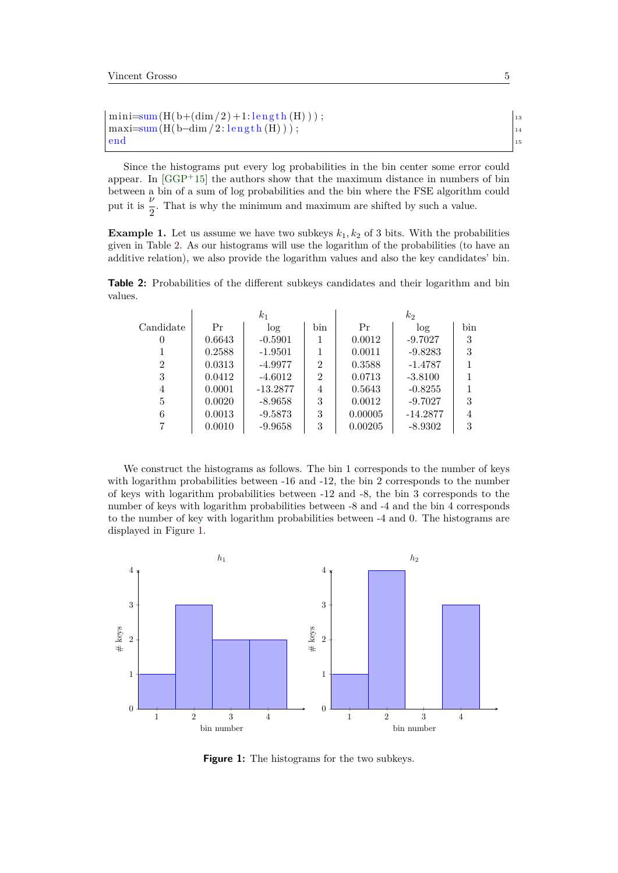```
\text{mini}=\text{sum}(H(b+(dim/2)+1:\text{length}(H)))); \qquad \qquadmaxi=sum(H(b-dim /2: length (H)));
end and the contract of the contract of the contract of the contract of the contract of the contract of the contract of the contract of the contract of the contract of the contract of the contract of the contract of the co
```
Since the histograms put every log probabilities in the bin center some error could appear. In  $[GGP+15]$  $[GGP+15]$  the authors show that the maximum distance in numbers of bin between a bin of a sum of log probabilities and the bin where the FSE algorithm could *ν* put it is  $\frac{2}{2}$ . That is why the minimum and maximum are shifted by such a value.

<span id="page-4-2"></span>**Example 1.** Let us assume we have two subkeys  $k_1, k_2$  of 3 bits. With the probabilities given in Table [2.](#page-4-0) As our histograms will use the logarithm of the probabilities (to have an additive relation), we also provide the logarithm values and also the key candidates' bin.

<span id="page-4-0"></span>**Table 2:** Probabilities of the different subkeys candidates and their logarithm and bin values.

|           |        | $k_{1}$    |                | $\scriptstyle k_2$ |            |     |  |
|-----------|--------|------------|----------------|--------------------|------------|-----|--|
| Candidate | Pr     | log        | bin            | Pr                 | $\log$     | bin |  |
| 0         | 0.6643 | $-0.5901$  | 1              | 0.0012             | $-9.7027$  | 3   |  |
|           | 0.2588 | $-1.9501$  |                | 0.0011             | $-9.8283$  | 3   |  |
| 2         | 0.0313 | $-4.9977$  | $\overline{2}$ | 0.3588             | $-1.4787$  |     |  |
| 3         | 0.0412 | $-4.6012$  | $\overline{2}$ | 0.0713             | $-3.8100$  |     |  |
| 4         | 0.0001 | $-13.2877$ | 4              | 0.5643             | $-0.8255$  |     |  |
| 5         | 0.0020 | $-8.9658$  | 3              | 0.0012             | $-9.7027$  | 3   |  |
| 6         | 0.0013 | $-9.5873$  | 3              | 0.00005            | $-14.2877$ | 4   |  |
|           | 0.0010 | $-9.9658$  | 3              | 0.00205            | $-8.9302$  | 3   |  |

We construct the histograms as follows. The bin 1 corresponds to the number of keys with logarithm probabilities between -16 and -12, the bin 2 corresponds to the number of keys with logarithm probabilities between -12 and -8, the bin 3 corresponds to the number of keys with logarithm probabilities between -8 and -4 and the bin 4 corresponds to the number of key with logarithm probabilities between -4 and 0. The histograms are displayed in Figure [1.](#page-4-1)

<span id="page-4-1"></span>

**Figure 1:** The histograms for the two subkeys.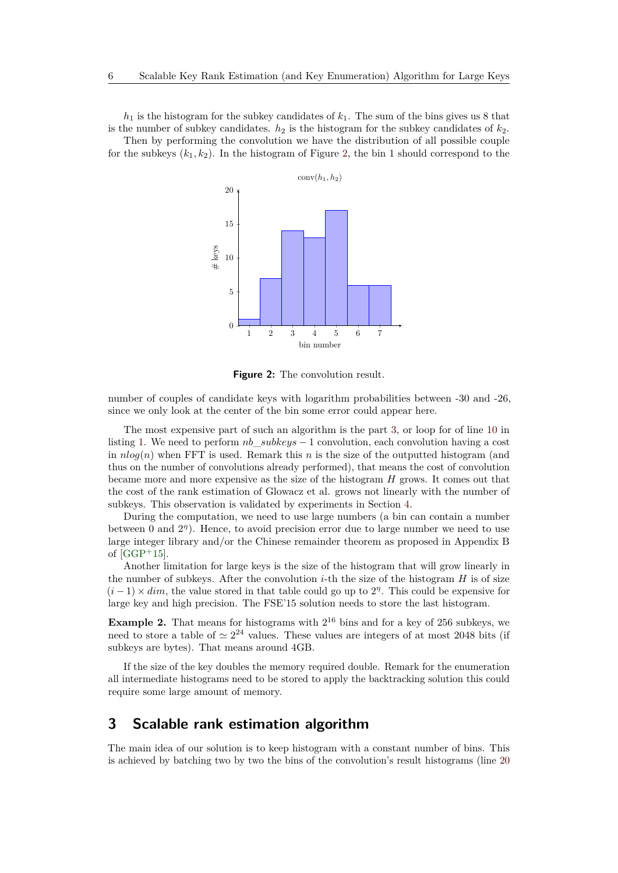$h_1$  is the histogram for the subkey candidates of  $k_1$ . The sum of the bins gives us 8 that is the number of subkey candidates.  $h_2$  is the histogram for the subkey candidates of  $k_2$ . Then by performing the convolution we have the distribution of all possible couple

<span id="page-5-0"></span>for the subkeys  $(k_1, k_2)$ . In the histogram of Figure [2,](#page-5-0) the bin 1 should correspond to the



**Figure 2:** The convolution result.

number of couples of candidate keys with logarithm probabilities between -30 and -26, since we only look at the center of the bin some error could appear here.

The most expensive part of such an algorithm is the part [3,](#page-3-2) or loop for of line [10](#page-3-3) in listing [1.](#page-3-1) We need to perform *nb*\_*subkeys* − 1 convolution, each convolution having a cost in  $nlog(n)$  when FFT is used. Remark this *n* is the size of the outputted histogram (and thus on the number of convolutions already performed), that means the cost of convolution became more and more expensive as the size of the histogram *H* grows. It comes out that the cost of the rank estimation of Glowacz et al. grows not linearly with the number of subkeys. This observation is validated by experiments in Section [4.](#page-10-0)

During the computation, we need to use large numbers (a bin can contain a number between 0 and  $2^{\eta}$ ). Hence, to avoid precision error due to large number we need to use large integer library and/or the Chinese remainder theorem as proposed in Appendix B of  $[GGP+15]$  $[GGP+15]$ .

Another limitation for large keys is the size of the histogram that will grow linearly in the number of subkeys. After the convolution *i*-th the size of the histogram  $H$  is of size  $(i-1) \times dim$ , the value stored in that table could go up to  $2<sup>\eta</sup>$ . This could be expensive for large key and high precision. The FSE'15 solution needs to store the last histogram.

<span id="page-5-1"></span>**Example 2.** That means for histograms with  $2^{16}$  bins and for a key of 256 subkeys, we need to store a table of  $\simeq 2^{24}$  values. These values are integers of at most 2048 bits (if subkeys are bytes). That means around 4GB.

If the size of the key doubles the memory required double. Remark for the enumeration all intermediate histograms need to be stored to apply the backtracking solution this could require some large amount of memory.

# **3 Scalable rank estimation algorithm**

The main idea of our solution is to keep histogram with a constant number of bins. This is achieved by batching two by two the bins of the convolution's result histograms (line [20](#page-6-0)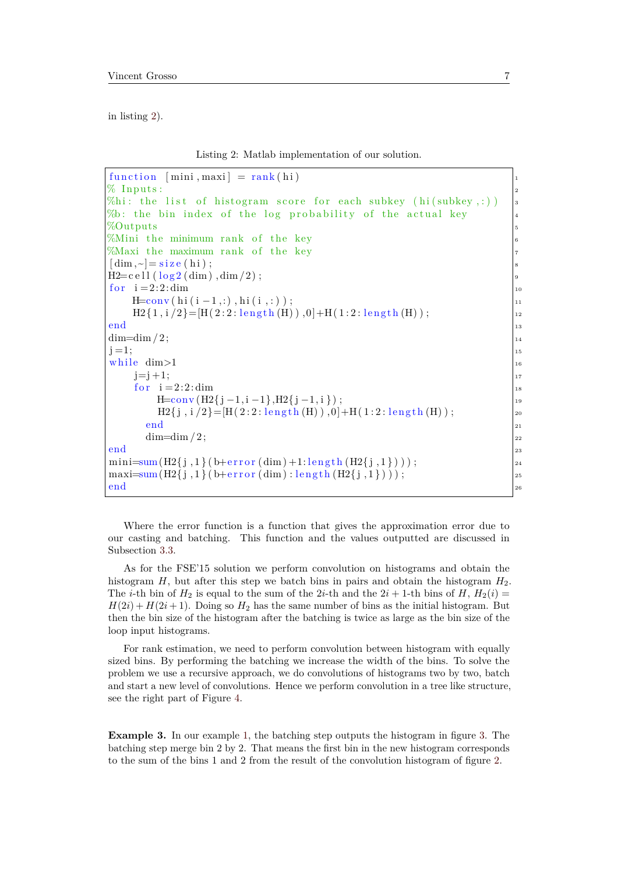<span id="page-6-1"></span>in listing [2\)](#page-6-1).

Listing 2: Matlab implementation of our solution.

```
function [\min, \max] = \text{rank}(h\mathbf{i})% Inputs:
\%hi: the list of histogram score for each subkey (hi(subkey,:))
% the bin index of the log probability of the actual key
%Outputs 5
\%Mini the minimum rank of the key \frac{1}{6}%Maxi the maximum rank of the key
\lceil \dim, \sim \rceil = \text{size}(\text{hi});H2=c e l l (\log 2 (\dim) , \dim/2);
for i = 2:2: dim \vert u \vertH = conv(hi(i-1,:), hi(i,:));H2\{1, i/2\} = [H(2:2: length(H)), 0] + H(1:2: length(H));\blacksquareend\blacksquare\dim=\dim/2;
j = 1;while \dim > 1 \qquad 16
   j=j+1; 17for i = 2:2: dim |18H=conv(H2{j-1,i-1},H2{j-1,i}); 199
      H2\{j, i/2\} = [H(2:2: length(H)), 0] + H(1:2: length(H));end and 21 and 22 and 22 and 22 and 22 and 22 and 22 and 22 and 22 and 22 and 22 and 22 and 22 and 22 and 22 and 22 and 22 and 22 and 22 and 22 and 22 and 22 and 22 and 22 and 22 and 22 and 22 and 22 and 22 and 22 and 22 a
    \dim=\dim/2;
end _{23}\min_{z}=\sum_{i=1}^{\infty} (H2{ j, 1} ( b+error (dim ) +1: length (H2{ j, 1} ) ) ;
\text{maxi}=\text{sum}(H_2\{j,1\})+\text{error}(\text{dim}): \text{length}(H_2\{j,1\})); \qquad \qquad \frac{1}{25}end _{2e}
```
<span id="page-6-0"></span>Where the error function is a function that gives the approximation error due to our casting and batching. This function and the values outputted are discussed in Subsection [3.3.](#page-8-0)

As for the FSE'15 solution we perform convolution on histograms and obtain the histogram *H*, but after this step we batch bins in pairs and obtain the histogram  $H_2$ . The *i*-th bin of  $H_2$  is equal to the sum of the 2*i*-th and the 2*i* + 1-th bins of *H*,  $H_2(i)$  =  $H(2i) + H(2i + 1)$ . Doing so  $H_2$  has the same number of bins as the initial histogram. But then the bin size of the histogram after the batching is twice as large as the bin size of the loop input histograms.

For rank estimation, we need to perform convolution between histogram with equally sized bins. By performing the batching we increase the width of the bins. To solve the problem we use a recursive approach, we do convolutions of histograms two by two, batch and start a new level of convolutions. Hence we perform convolution in a tree like structure, see the right part of Figure [4.](#page-7-0)

**Example [3.](#page-7-1)** In our example [1,](#page-4-2) the batching step outputs the histogram in figure 3. The batching step merge bin 2 by 2. That means the first bin in the new histogram corresponds to the sum of the bins 1 and 2 from the result of the convolution histogram of figure [2.](#page-5-0)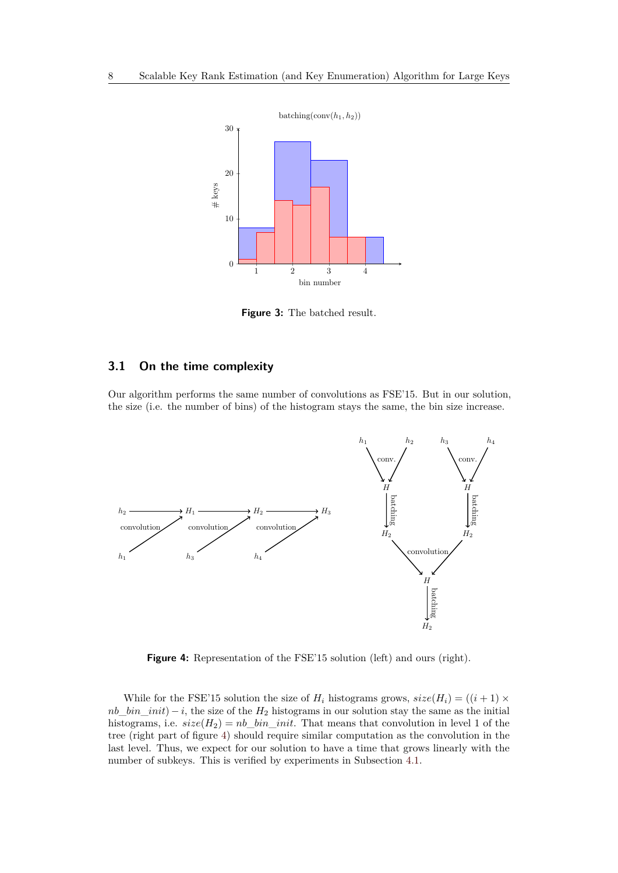<span id="page-7-1"></span>

**Figure 3:** The batched result.

#### **3.1 On the time complexity**

Our algorithm performs the same number of convolutions as FSE'15. But in our solution, the size (i.e. the number of bins) of the histogram stays the same, the bin size increase.

<span id="page-7-0"></span>

**Figure 4:** Representation of the FSE'15 solution (left) and ours (right).

While for the FSE'15 solution the size of  $H_i$  histograms grows,  $size(H_i) = ((i + 1) \times$  $nb\_bin\_init$  – *i*, the size of the  $H_2$  histograms in our solution stay the same as the initial histograms, i.e.  $size(H_2) = nb$  *bin init*. That means that convolution in level 1 of the tree (right part of figure [4\)](#page-7-0) should require similar computation as the convolution in the last level. Thus, we expect for our solution to have a time that grows linearly with the number of subkeys. This is verified by experiments in Subsection [4.1.](#page-10-1)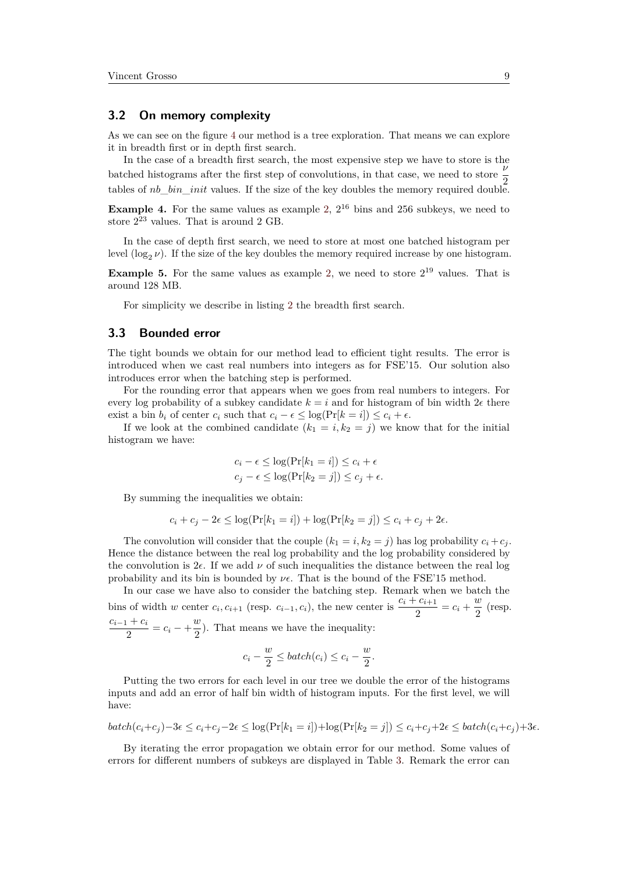#### **3.2 On memory complexity**

As we can see on the figure [4](#page-7-0) our method is a tree exploration. That means we can explore it in breadth first or in depth first search.

In the case of a breadth first search, the most expensive step we have to store is the batched histograms after the first step of convolutions, in that case, we need to store *ν* tables of *nb bin init* values. If the size of the key doubles the memory required double.

**Example 4.** For the same values as example [2,](#page-5-1)  $2^{16}$  bins and  $256$  subkeys, we need to store 2 <sup>23</sup> values. That is around 2 GB.

In the case of depth first search, we need to store at most one batched histogram per level  $(\log_2 \nu)$ . If the size of the key doubles the memory required increase by one histogram.

**Example 5.** For the same values as example [2,](#page-5-1) we need to store  $2^{19}$  values. That is around 128 MB.

For simplicity we describe in listing [2](#page-6-1) the breadth first search.

#### <span id="page-8-0"></span>**3.3 Bounded error**

The tight bounds we obtain for our method lead to efficient tight results. The error is introduced when we cast real numbers into integers as for FSE'15. Our solution also introduces error when the batching step is performed.

For the rounding error that appears when we goes from real numbers to integers. For every log probability of a subkey candidate  $k = i$  and for histogram of bin width  $2\epsilon$  there exist a bin  $b_i$  of center  $c_i$  such that  $c_i - \epsilon \leq \log(\Pr[k = i]) \leq c_i + \epsilon$ .

If we look at the combined candidate  $(k_1 = i, k_2 = j)$  we know that for the initial histogram we have:

$$
c_i - \epsilon \le \log(\Pr[k_1 = i]) \le c_i + \epsilon
$$
  

$$
c_j - \epsilon \le \log(\Pr[k_2 = j]) \le c_j + \epsilon.
$$

By summing the inequalities we obtain:

$$
c_i + c_j - 2\epsilon \le \log(\Pr[k_1 = i]) + \log(\Pr[k_2 = j]) \le c_i + c_j + 2\epsilon.
$$

The convolution will consider that the couple  $(k_1 = i, k_2 = j)$  has log probability  $c_i + c_j$ . Hence the distance between the real log probability and the log probability considered by the convolution is  $2\epsilon$ . If we add  $\nu$  of such inequalities the distance between the real log probability and its bin is bounded by  $\nu \epsilon$ . That is the bound of the FSE'15 method.

In our case we have also to consider the batching step. Remark when we batch the bins of width *w* center  $c_i$ ,  $c_{i+1}$  (resp.  $c_{i-1}$ ,  $c_i$ ), the new center is  $\frac{c_i + c_{i+1}}{2} = c_i + \frac{w}{2}$  $rac{\infty}{2}$  (resp.  $c_{i-1} + c_i$  $\frac{1 + c_i}{2} = c_i - \frac{w}{2}$  $\frac{\infty}{2}$ ). That means we have the inequality:

$$
c_i - \frac{w}{2} \leq batch(c_i) \leq c_i - \frac{w}{2}.
$$

Putting the two errors for each level in our tree we double the error of the histograms inputs and add an error of half bin width of histogram inputs. For the first level, we will have:

$$
batch(c_i+c_j)-3\epsilon \le c_i+c_j-2\epsilon \le \log(Pr[k_1 = i]) + \log(Pr[k_2 = j]) \le c_i+c_j+2\epsilon \le batch(c_i+c_j)+3\epsilon.
$$

By iterating the error propagation we obtain error for our method. Some values of errors for different numbers of subkeys are displayed in Table [3.](#page-9-0) Remark the error can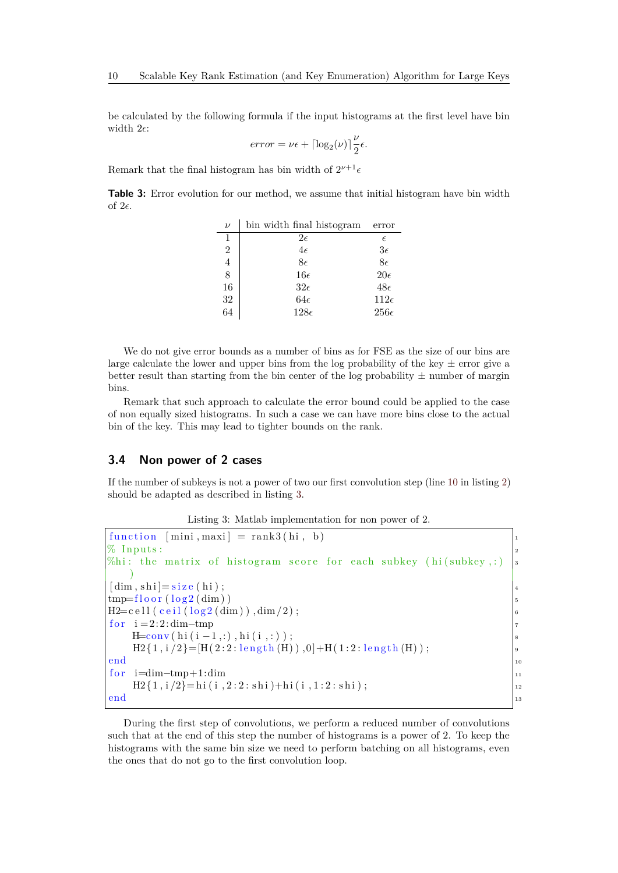be calculated by the following formula if the input histograms at the first level have bin width  $2\epsilon$ :

$$
error = \nu \epsilon + \lceil \log_2(\nu) \rceil \frac{\nu}{2} \epsilon.
$$

Remark that the final histogram has bin width of  $2^{\nu+1} \epsilon$ 

<span id="page-9-0"></span>**Table 3:** Error evolution for our method, we assume that initial histogram have bin width of  $2\epsilon$ .

| $\nu$          | bin width final histogram | error         |
|----------------|---------------------------|---------------|
| 1              | $2\epsilon$               | $\epsilon$    |
| $\overline{2}$ | $4\epsilon$               | $3\epsilon$   |
| 4              | $8\epsilon$               | $8\epsilon$   |
| 8              | $16\epsilon$              | $20\epsilon$  |
| 16             | $32\epsilon$              | $48\epsilon$  |
| 32             | $64\epsilon$              | $112\epsilon$ |
| 64             | $128\epsilon$             | $256\epsilon$ |

We do not give error bounds as a number of bins as for FSE as the size of our bins are large calculate the lower and upper bins from the log probability of the key  $\pm$  error give a better result than starting from the bin center of the log probability  $\pm$  number of margin bins.

Remark that such approach to calculate the error bound could be applied to the case of non equally sized histograms. In such a case we can have more bins close to the actual bin of the key. This may lead to tighter bounds on the rank.

#### **3.4 Non power of 2 cases**

If the number of subkeys is not a power of two our first convolution step (line [10](#page-6-2) in listing [2\)](#page-6-1) should be adapted as described in listing [3.](#page-9-1)

Listing 3: Matlab implementation for non power of 2.

```
function [\text{mini}, \text{maxi}] = \text{rank3}(\text{hi}, \text{b})% Inputs:
%hi: the matrix of histogram score for each subkey (hi (subkey, :)
    )
[\dim, \mathrm{shi}] = \mathrm{size}(\mathrm{hi});tmp = floor (log 2 (dim))H2=c e l l ( c e i l ( l o g 2 (dim ) ), dim / 2 );
for i = 2:2:dim -tmpH=conv(hi(i-1,:),hi(i,:));H2\{1, i/2\} = [H(2:2: length(H)), 0] + H(1:2: length(H));end and the contract of the contract of the contract of the contract of the contract of the contract of the contract of the contract of the contract of the contract of the contract of the contract of the contract of the co
for \text{ i}=dim-tmp+1:dim \text{ } 11
    H2\{1, i/2\} = h1(i, 2:2: shi) + hi(i, 1:2: shi);\blacksquareend\blacksquare
```
During the first step of convolutions, we perform a reduced number of convolutions such that at the end of this step the number of histograms is a power of 2. To keep the histograms with the same bin size we need to perform batching on all histograms, even the ones that do not go to the first convolution loop.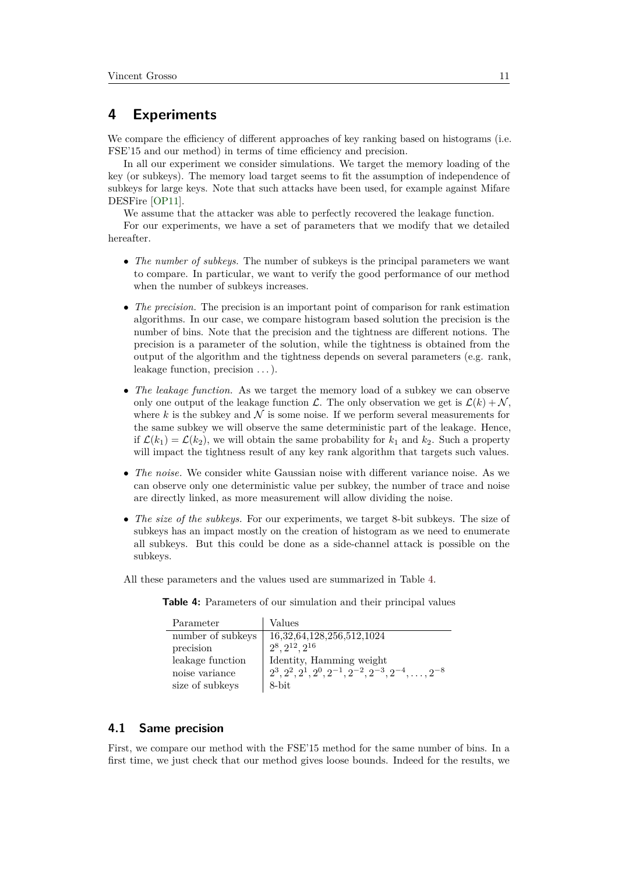## <span id="page-10-0"></span>**4 Experiments**

We compare the efficiency of different approaches of key ranking based on histograms (i.e. FSE'15 and our method) in terms of time efficiency and precision.

In all our experiment we consider simulations. We target the memory loading of the key (or subkeys). The memory load target seems to fit the assumption of independence of subkeys for large keys. Note that such attacks have been used, for example against Mifare DESFire [\[OP11\]](#page-17-7).

We assume that the attacker was able to perfectly recovered the leakage function.

For our experiments, we have a set of parameters that we modify that we detailed hereafter.

- *The number of subkeys.* The number of subkeys is the principal parameters we want to compare. In particular, we want to verify the good performance of our method when the number of subkeys increases.
- *The precision.* The precision is an important point of comparison for rank estimation algorithms. In our case, we compare histogram based solution the precision is the number of bins. Note that the precision and the tightness are different notions. The precision is a parameter of the solution, while the tightness is obtained from the output of the algorithm and the tightness depends on several parameters (e.g. rank, leakage function, precision . . . ).
- *The leakage function.* As we target the memory load of a subkey we can observe only one output of the leakage function  $\mathcal{L}$ . The only observation we get is  $\mathcal{L}(k) + \mathcal{N}$ , where  $k$  is the subkey and  $\mathcal N$  is some noise. If we perform several measurements for the same subkey we will observe the same deterministic part of the leakage. Hence, if  $\mathcal{L}(k_1) = \mathcal{L}(k_2)$ , we will obtain the same probability for  $k_1$  and  $k_2$ . Such a property will impact the tightness result of any key rank algorithm that targets such values.
- *The noise.* We consider white Gaussian noise with different variance noise. As we can observe only one deterministic value per subkey, the number of trace and noise are directly linked, as more measurement will allow dividing the noise.
- *The size of the subkeys.* For our experiments, we target 8-bit subkeys. The size of subkeys has an impact mostly on the creation of histogram as we need to enumerate all subkeys. But this could be done as a side-channel attack is possible on the subkeys.

<span id="page-10-2"></span>All these parameters and the values used are summarized in Table [4.](#page-10-2)

**Table 4:** Parameters of our simulation and their principal values

| Parameter         | Values                                                               |
|-------------------|----------------------------------------------------------------------|
| number of subkeys | 16, 32, 64, 128, 256, 512, 1024                                      |
| precision         | $2^8, 2^{12}, 2^{16}$                                                |
| leakage function  | Identity, Hamming weight                                             |
| noise variance    | $2^3, 2^2, 2^1, 2^0, 2^{-1}, 2^{-2}, 2^{-3}, 2^{-4}, \ldots, 2^{-8}$ |
| size of subkeys   | 8-bit                                                                |

#### <span id="page-10-1"></span>**4.1 Same precision**

First, we compare our method with the FSE'15 method for the same number of bins. In a first time, we just check that our method gives loose bounds. Indeed for the results, we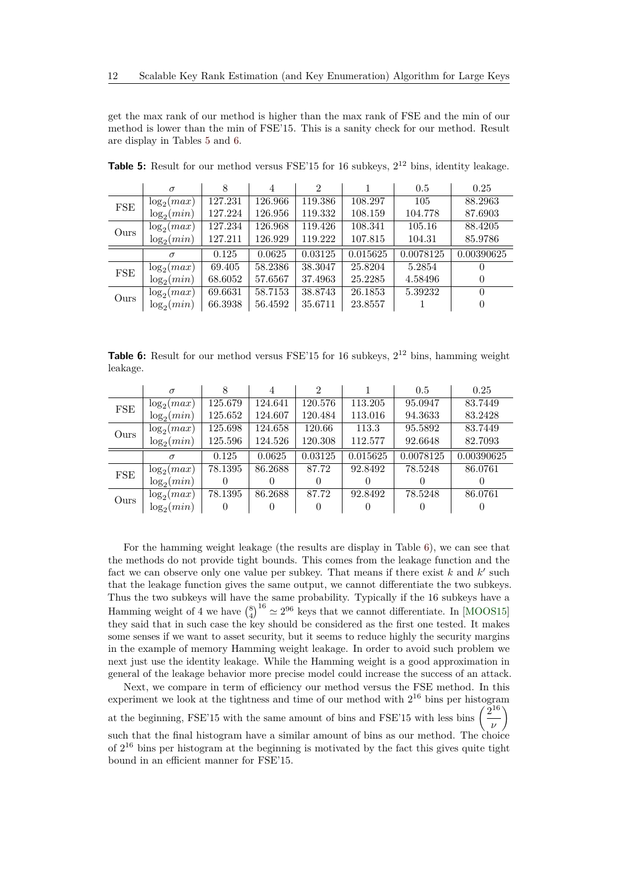get the max rank of our method is higher than the max rank of FSE and the min of our method is lower than the min of FSE'15. This is a sanity check for our method. Result are display in Tables [5](#page-11-0) and [6.](#page-11-1)

|            | $\sigma$      | 8       | 4       | 2       |          | 0.5       | 0.25       |
|------------|---------------|---------|---------|---------|----------|-----------|------------|
| <b>FSE</b> | $\log_2(max)$ | 127.231 | 126.966 | 119.386 | 108.297  | 105       | 88.2963    |
|            | $\log_2(min)$ | 127.224 | 126.956 | 119.332 | 108.159  | 104.778   | 87.6903    |
| Ours       | $\log_2(max)$ | 127.234 | 126.968 | 119.426 | 108.341  | 105.16    | 88.4205    |
|            | $\log_2(min)$ | 127.211 | 126.929 | 119.222 | 107.815  | 104.31    | 85.9786    |
|            |               |         |         |         |          |           |            |
|            | $\sigma$      | 0.125   | 0.0625  | 0.03125 | 0.015625 | 0.0078125 | 0.00390625 |
|            | $\log_2(max)$ | 69.405  | 58.2386 | 38.3047 | 25.8204  | 5.2854    |            |
| <b>FSE</b> | $\log_2(min)$ | 68.6052 | 57.6567 | 37.4963 | 25.2285  | 4.58496   |            |
| Ours       | $\log_2(max)$ | 69.6631 | 58.7153 | 38.8743 | 26.1853  | 5.39232   |            |

<span id="page-11-0"></span>**Table 5:** Result for our method versus FSE'15 for 16 subkeys,  $2^{12}$  bins, identity leakage.

<span id="page-11-1"></span>**Table 6:** Result for our method versus FSE'15 for 16 subkeys,  $2^{12}$  bins, hamming weight leakage.

|      | $\sigma$      |         | 4       | $\mathfrak{D}$ |          | 0.5       | 0.25       |
|------|---------------|---------|---------|----------------|----------|-----------|------------|
| FSE  | $\log_2(max)$ | 125.679 | 124.641 | 120.576        | 113.205  | 95.0947   | 83.7449    |
|      | $\log_2(min)$ | 125.652 | 124.607 | 120.484        | 113.016  | 94.3633   | 83.2428    |
| Ours | $\log_2(max)$ | 125.698 | 124.658 | 120.66         | 113.3    | 95.5892   | 83.7449    |
|      | $\log_2(min)$ | 125.596 | 124.526 | 120.308        | 112.577  | 92.6648   | 82.7093    |
|      | $\sigma$      | 0.125   | 0.0625  | 0.03125        | 0.015625 | 0.0078125 | 0.00390625 |
| FSE  | $\log_2(max)$ | 78.1395 | 86.2688 | 87.72          | 92.8492  | 78.5248   | 86.0761    |
|      | $\log_2(min)$ |         |         |                |          |           |            |
|      | $\log_2(max)$ | 78.1395 | 86.2688 | 87.72          | 92.8492  | 78.5248   | 86.0761    |
| Ours | $\log_2(min)$ |         |         |                |          |           |            |

For the hamming weight leakage (the results are display in Table [6\)](#page-11-1), we can see that the methods do not provide tight bounds. This comes from the leakage function and the fact we can observe only one value per subkey. That means if there exist  $k$  and  $k'$  such that the leakage function gives the same output, we cannot differentiate the two subkeys. Thus the two subkeys will have the same probability. Typically if the 16 subkeys have a Hamming weight of 4 we have  $\binom{8}{4}^{16} \simeq 2^{96}$  keys that we cannot differentiate. In [\[MOOS15\]](#page-17-0) they said that in such case the key should be considered as the first one tested. It makes some senses if we want to asset security, but it seems to reduce highly the security margins in the example of memory Hamming weight leakage. In order to avoid such problem we next just use the identity leakage. While the Hamming weight is a good approximation in general of the leakage behavior more precise model could increase the success of an attack.

Next, we compare in term of efficiency our method versus the FSE method. In this experiment we look at the tightness and time of our method with  $2^{16}$  bins per histogram 2 16  $\setminus$ 

at the beginning, FSE'15 with the same amount of bins and FSE'15 with less bins  $($ 

such that the final histogram have a similar amount of bins as our method. The choice of 2 <sup>16</sup> bins per histogram at the beginning is motivated by the fact this gives quite tight bound in an efficient manner for FSE'15.

*ν*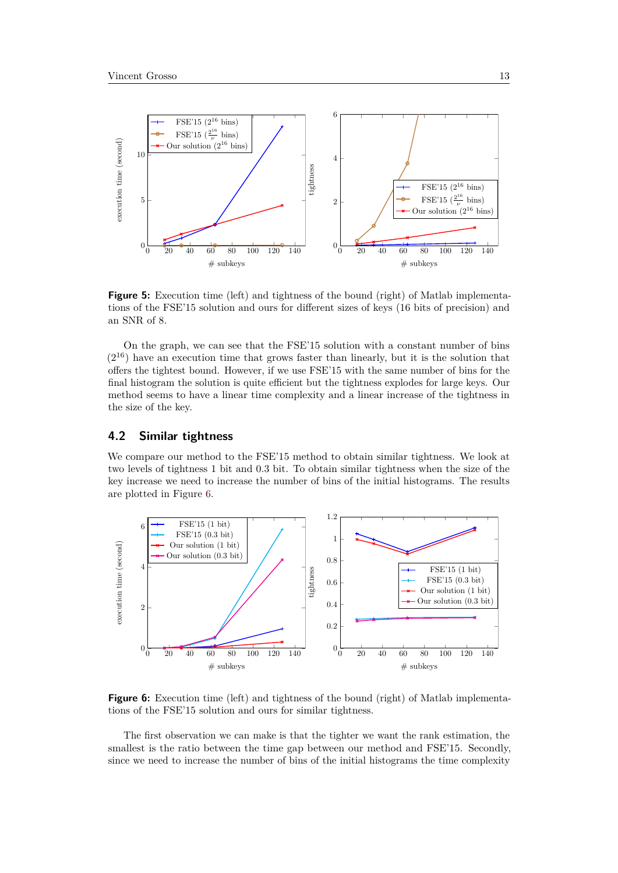

**Figure 5:** Execution time (left) and tightness of the bound (right) of Matlab implementations of the FSE'15 solution and ours for different sizes of keys (16 bits of precision) and an SNR of 8.

On the graph, we can see that the FSE'15 solution with a constant number of bins (2 <sup>16</sup>) have an execution time that grows faster than linearly, but it is the solution that offers the tightest bound. However, if we use FSE'15 with the same number of bins for the final histogram the solution is quite efficient but the tightness explodes for large keys. Our method seems to have a linear time complexity and a linear increase of the tightness in the size of the key.

### **4.2 Similar tightness**

We compare our method to the FSE'15 method to obtain similar tightness. We look at two levels of tightness 1 bit and 0*.*3 bit. To obtain similar tightness when the size of the key increase we need to increase the number of bins of the initial histograms. The results are plotted in Figure [6.](#page-12-0)

<span id="page-12-0"></span>

**Figure 6:** Execution time (left) and tightness of the bound (right) of Matlab implementations of the FSE'15 solution and ours for similar tightness.

The first observation we can make is that the tighter we want the rank estimation, the smallest is the ratio between the time gap between our method and FSE'15. Secondly, since we need to increase the number of bins of the initial histograms the time complexity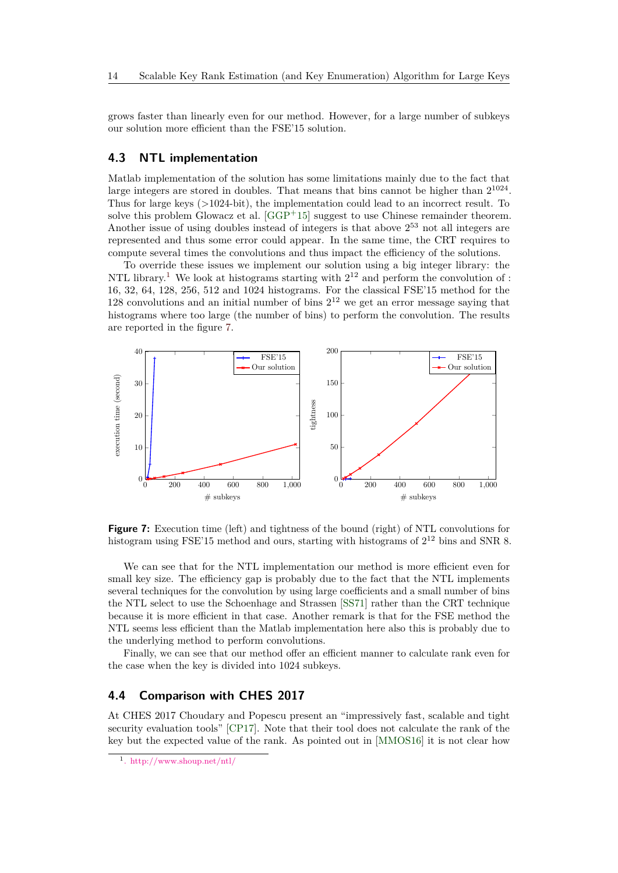grows faster than linearly even for our method. However, for a large number of subkeys our solution more efficient than the FSE'15 solution.

#### <span id="page-13-2"></span>**4.3 NTL implementation**

Matlab implementation of the solution has some limitations mainly due to the fact that large integers are stored in doubles. That means that bins cannot be higher than  $2^{1024}$ . Thus for large keys (>1024-bit), the implementation could lead to an incorrect result. To solve this problem Glowacz et al. [\[GGP](#page-16-2)<sup>+</sup>15] suggest to use Chinese remainder theorem. Another issue of using doubles instead of integers is that above 2 <sup>53</sup> not all integers are represented and thus some error could appear. In the same time, the CRT requires to compute several times the convolutions and thus impact the efficiency of the solutions.

To override these issues we implement our solution using a big integer library: the NTL library.<sup>[1](#page-13-0)</sup> We look at histograms starting with  $2^{12}$  and perform the convolution of : 16, 32, 64, 128, 256, 512 and 1024 histograms. For the classical FSE'15 method for the 128 convolutions and an initial number of bins  $2^{12}$  we get an error message saying that histograms where too large (the number of bins) to perform the convolution. The results are reported in the figure [7.](#page-13-1)

<span id="page-13-1"></span>

**Figure 7:** Execution time (left) and tightness of the bound (right) of NTL convolutions for histogram using FSE'15 method and ours, starting with histograms of  $2^{12}$  bins and SNR 8.

We can see that for the NTL implementation our method is more efficient even for small key size. The efficiency gap is probably due to the fact that the NTL implements several techniques for the convolution by using large coefficients and a small number of bins the NTL select to use the Schoenhage and Strassen [\[SS71\]](#page-17-8) rather than the CRT technique because it is more efficient in that case. Another remark is that for the FSE method the NTL seems less efficient than the Matlab implementation here also this is probably due to the underlying method to perform convolutions.

Finally, we can see that our method offer an efficient manner to calculate rank even for the case when the key is divided into 1024 subkeys.

#### **4.4 Comparison with CHES 2017**

At CHES 2017 Choudary and Popescu present an "impressively fast, scalable and tight security evaluation tools" [\[CP17\]](#page-16-3). Note that their tool does not calculate the rank of the key but the expected value of the rank. As pointed out in [\[MMOS16\]](#page-17-6) it is not clear how

<span id="page-13-0"></span><sup>1</sup> <. http://www.shoup.net/ntl/>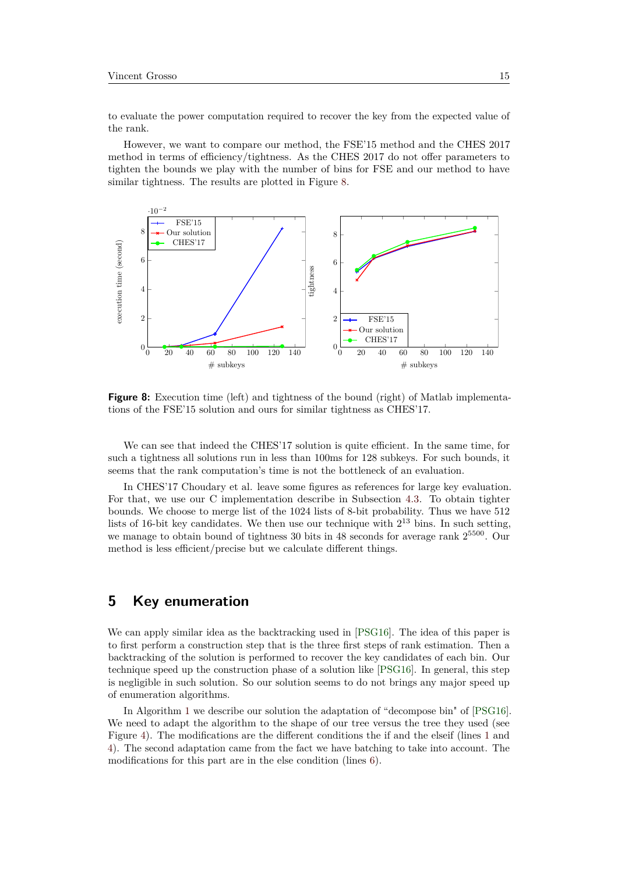to evaluate the power computation required to recover the key from the expected value of the rank.

However, we want to compare our method, the FSE'15 method and the CHES 2017 method in terms of efficiency/tightness. As the CHES 2017 do not offer parameters to tighten the bounds we play with the number of bins for FSE and our method to have similar tightness. The results are plotted in Figure [8.](#page-14-0)

<span id="page-14-0"></span>

**Figure 8:** Execution time (left) and tightness of the bound (right) of Matlab implementations of the FSE'15 solution and ours for similar tightness as CHES'17.

We can see that indeed the CHES'17 solution is quite efficient. In the same time, for such a tightness all solutions run in less than 100ms for 128 subkeys. For such bounds, it seems that the rank computation's time is not the bottleneck of an evaluation.

In CHES'17 Choudary et al. leave some figures as references for large key evaluation. For that, we use our C implementation describe in Subsection [4.3.](#page-13-2) To obtain tighter bounds. We choose to merge list of the 1024 lists of 8-bit probability. Thus we have 512 lists of 16-bit key candidates. We then use our technique with  $2^{13}$  bins. In such setting, we manage to obtain bound of tightness 30 bits in 48 seconds for average rank  $2^{5500}$ . Our method is less efficient/precise but we calculate different things.

## **5 Key enumeration**

We can apply similar idea as the backtracking used in [\[PSG16\]](#page-17-2). The idea of this paper is to first perform a construction step that is the three first steps of rank estimation. Then a backtracking of the solution is performed to recover the key candidates of each bin. Our technique speed up the construction phase of a solution like [\[PSG16\]](#page-17-2). In general, this step is negligible in such solution. So our solution seems to do not brings any major speed up of enumeration algorithms.

In Algorithm [1](#page-15-0) we describe our solution the adaptation of "decompose bin" of [\[PSG16\]](#page-17-2). We need to adapt the algorithm to the shape of our tree versus the tree they used (see Figure [4\)](#page-7-0). The modifications are the different conditions the if and the elseif (lines [1](#page-15-1) and [4\)](#page-15-2). The second adaptation came from the fact we have batching to take into account. The modifications for this part are in the else condition (lines [6\)](#page-15-3).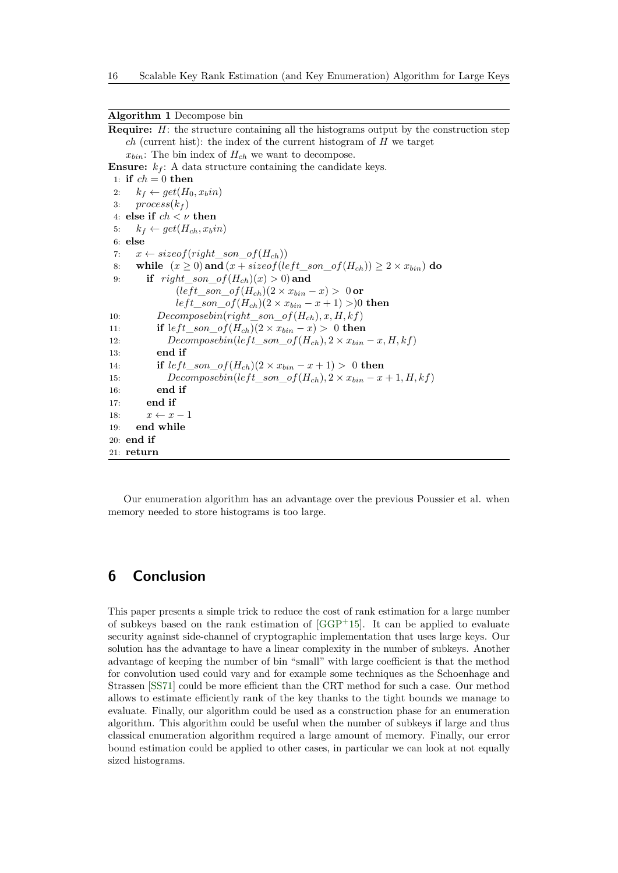#### <span id="page-15-0"></span>**Algorithm 1** Decompose bin

<span id="page-15-3"></span><span id="page-15-2"></span><span id="page-15-1"></span>**Require:** *H*: the structure containing all the histograms output by the construction step *ch* (current hist): the index of the current histogram of *H* we target  $x_{bin}$ : The bin index of  $H_{ch}$  we want to decompose. **Ensure:**  $k_f$ : A data structure containing the candidate keys. 1: **if**  $ch = 0$  **then** 2:  $k_f \leftarrow get(H_0, x_bin)$ 3:  $process(k_f)$ 4: **else if** *ch < ν* **then** 5:  $k_f \leftarrow get(H_{ch}, x_b in)$ 6: **else** 7:  $x \leftarrow sizeof(right\_son\_of(H_{ch}))$ 8: while  $(x \ge 0)$  and  $(x + sizeof(left\_son\_of(H_{ch})) \ge 2 \times x_{bin})$  do 9: **if** *right son*  $of(H_{ch})(x) > 0)$  and  $(left\_son\_of(H_{ch})(2 \times x_{bin} - x) > 0$  or  $left\_son\_of(H_{ch})(2 \times x_{bin} - x + 1)$  >)0 **then** 10: *Decomposebin*(*right*\_*son*\_*of*(*Hch*)*, x, H, kf*) 11: **if** left son of  $(H_{ch})(2 \times x_{bin} - x) > 0$  then 12: *Decomposebin*(*left son*  $of(H_{ch})$ *,*  $2 \times x_{bin} - x$ *, H, kf*) 13: **end if** 14: **if**  $left\_son\_of(H_{ch})(2 \times x_{bin} - x + 1) > 0$  then 15: *Decomposebin*(*left\_son\_of*( $H_{ch}$ ),  $2 \times x_{bin} - x + 1$ ,  $H, kf$ ) 16: **end if** 17: **end if** 18:  $x \leftarrow x-1$ 19: **end while** 20: **end if** 21: **return**

Our enumeration algorithm has an advantage over the previous Poussier et al. when memory needed to store histograms is too large.

## **6 Conclusion**

This paper presents a simple trick to reduce the cost of rank estimation for a large number of subkeys based on the rank estimation of [\[GGP](#page-16-2)<sup>+</sup>15]. It can be applied to evaluate security against side-channel of cryptographic implementation that uses large keys. Our solution has the advantage to have a linear complexity in the number of subkeys. Another advantage of keeping the number of bin "small" with large coefficient is that the method for convolution used could vary and for example some techniques as the Schoenhage and Strassen [\[SS71\]](#page-17-8) could be more efficient than the CRT method for such a case. Our method allows to estimate efficiently rank of the key thanks to the tight bounds we manage to evaluate. Finally, our algorithm could be used as a construction phase for an enumeration algorithm. This algorithm could be useful when the number of subkeys if large and thus classical enumeration algorithm required a large amount of memory. Finally, our error bound estimation could be applied to other cases, in particular we can look at not equally sized histograms.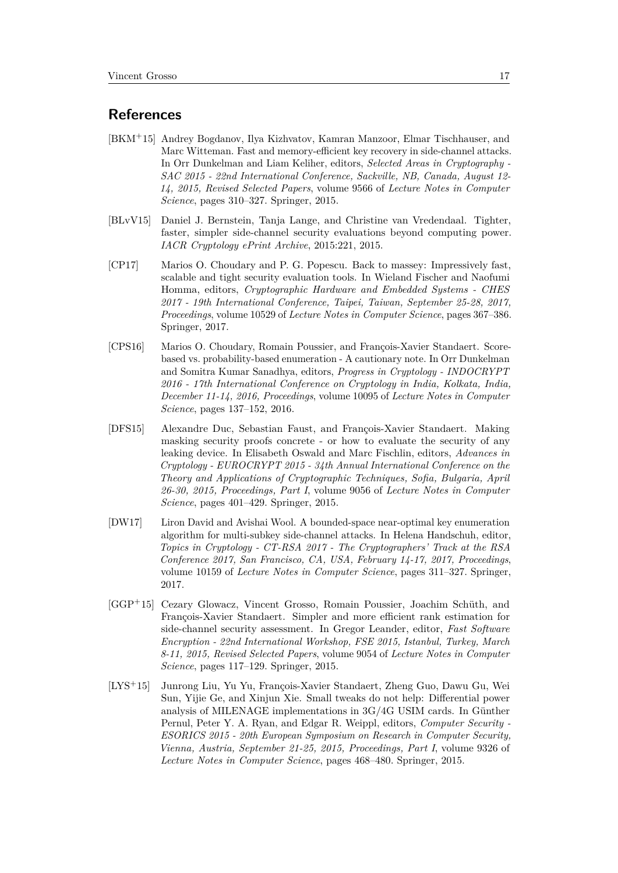## **References**

- <span id="page-16-5"></span>[BKM<sup>+</sup>15] Andrey Bogdanov, Ilya Kizhvatov, Kamran Manzoor, Elmar Tischhauser, and Marc Witteman. Fast and memory-efficient key recovery in side-channel attacks. In Orr Dunkelman and Liam Keliher, editors, *Selected Areas in Cryptography - SAC 2015 - 22nd International Conference, Sackville, NB, Canada, August 12- 14, 2015, Revised Selected Papers*, volume 9566 of *Lecture Notes in Computer Science*, pages 310–327. Springer, 2015.
- <span id="page-16-1"></span>[BLvV15] Daniel J. Bernstein, Tanja Lange, and Christine van Vredendaal. Tighter, faster, simpler side-channel security evaluations beyond computing power. *IACR Cryptology ePrint Archive*, 2015:221, 2015.
- <span id="page-16-3"></span>[CP17] Marios O. Choudary and P. G. Popescu. Back to massey: Impressively fast, scalable and tight security evaluation tools. In Wieland Fischer and Naofumi Homma, editors, *Cryptographic Hardware and Embedded Systems - CHES 2017 - 19th International Conference, Taipei, Taiwan, September 25-28, 2017, Proceedings*, volume 10529 of *Lecture Notes in Computer Science*, pages 367–386. Springer, 2017.
- <span id="page-16-4"></span>[CPS16] Marios O. Choudary, Romain Poussier, and François-Xavier Standaert. Scorebased vs. probability-based enumeration - A cautionary note. In Orr Dunkelman and Somitra Kumar Sanadhya, editors, *Progress in Cryptology - INDOCRYPT 2016 - 17th International Conference on Cryptology in India, Kolkata, India, December 11-14, 2016, Proceedings*, volume 10095 of *Lecture Notes in Computer Science*, pages 137–152, 2016.
- <span id="page-16-7"></span>[DFS15] Alexandre Duc, Sebastian Faust, and François-Xavier Standaert. Making masking security proofs concrete - or how to evaluate the security of any leaking device. In Elisabeth Oswald and Marc Fischlin, editors, *Advances in Cryptology - EUROCRYPT 2015 - 34th Annual International Conference on the Theory and Applications of Cryptographic Techniques, Sofia, Bulgaria, April 26-30, 2015, Proceedings, Part I*, volume 9056 of *Lecture Notes in Computer Science*, pages 401–429. Springer, 2015.
- <span id="page-16-6"></span>[DW17] Liron David and Avishai Wool. A bounded-space near-optimal key enumeration algorithm for multi-subkey side-channel attacks. In Helena Handschuh, editor, *Topics in Cryptology - CT-RSA 2017 - The Cryptographers' Track at the RSA Conference 2017, San Francisco, CA, USA, February 14-17, 2017, Proceedings*, volume 10159 of *Lecture Notes in Computer Science*, pages 311–327. Springer, 2017.
- <span id="page-16-2"></span>[GGP<sup>+</sup>15] Cezary Glowacz, Vincent Grosso, Romain Poussier, Joachim Schüth, and François-Xavier Standaert. Simpler and more efficient rank estimation for side-channel security assessment. In Gregor Leander, editor, *Fast Software Encryption - 22nd International Workshop, FSE 2015, Istanbul, Turkey, March 8-11, 2015, Revised Selected Papers*, volume 9054 of *Lecture Notes in Computer Science*, pages 117–129. Springer, 2015.
- <span id="page-16-0"></span>[LYS<sup>+</sup>15] Junrong Liu, Yu Yu, François-Xavier Standaert, Zheng Guo, Dawu Gu, Wei Sun, Yijie Ge, and Xinjun Xie. Small tweaks do not help: Differential power analysis of MILENAGE implementations in 3G/4G USIM cards. In Günther Pernul, Peter Y. A. Ryan, and Edgar R. Weippl, editors, *Computer Security - ESORICS 2015 - 20th European Symposium on Research in Computer Security, Vienna, Austria, September 21-25, 2015, Proceedings, Part I*, volume 9326 of *Lecture Notes in Computer Science*, pages 468–480. Springer, 2015.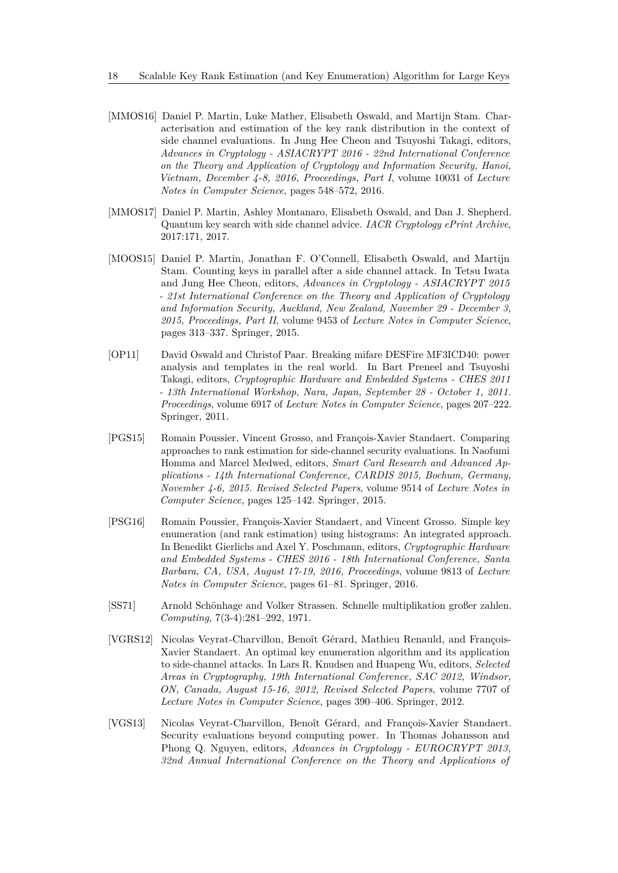- <span id="page-17-6"></span>[MMOS16] Daniel P. Martin, Luke Mather, Elisabeth Oswald, and Martijn Stam. Characterisation and estimation of the key rank distribution in the context of side channel evaluations. In Jung Hee Cheon and Tsuyoshi Takagi, editors, *Advances in Cryptology - ASIACRYPT 2016 - 22nd International Conference on the Theory and Application of Cryptology and Information Security, Hanoi, Vietnam, December 4-8, 2016, Proceedings, Part I*, volume 10031 of *Lecture Notes in Computer Science*, pages 548–572, 2016.
- <span id="page-17-4"></span>[MMOS17] Daniel P. Martin, Ashley Montanaro, Elisabeth Oswald, and Dan J. Shepherd. Quantum key search with side channel advice. *IACR Cryptology ePrint Archive*, 2017:171, 2017.
- <span id="page-17-0"></span>[MOOS15] Daniel P. Martin, Jonathan F. O'Connell, Elisabeth Oswald, and Martijn Stam. Counting keys in parallel after a side channel attack. In Tetsu Iwata and Jung Hee Cheon, editors, *Advances in Cryptology - ASIACRYPT 2015 - 21st International Conference on the Theory and Application of Cryptology and Information Security, Auckland, New Zealand, November 29 - December 3, 2015, Proceedings, Part II*, volume 9453 of *Lecture Notes in Computer Science*, pages 313–337. Springer, 2015.
- <span id="page-17-7"></span>[OP11] David Oswald and Christof Paar. Breaking mifare DESFire MF3ICD40: power analysis and templates in the real world. In Bart Preneel and Tsuyoshi Takagi, editors, *Cryptographic Hardware and Embedded Systems - CHES 2011 - 13th International Workshop, Nara, Japan, September 28 - October 1, 2011. Proceedings*, volume 6917 of *Lecture Notes in Computer Science*, pages 207–222. Springer, 2011.
- <span id="page-17-5"></span>[PGS15] Romain Poussier, Vincent Grosso, and François-Xavier Standaert. Comparing approaches to rank estimation for side-channel security evaluations. In Naofumi Homma and Marcel Medwed, editors, *Smart Card Research and Advanced Applications - 14th International Conference, CARDIS 2015, Bochum, Germany, November 4-6, 2015. Revised Selected Papers*, volume 9514 of *Lecture Notes in Computer Science*, pages 125–142. Springer, 2015.
- <span id="page-17-2"></span>[PSG16] Romain Poussier, François-Xavier Standaert, and Vincent Grosso. Simple key enumeration (and rank estimation) using histograms: An integrated approach. In Benedikt Gierlichs and Axel Y. Poschmann, editors, *Cryptographic Hardware and Embedded Systems - CHES 2016 - 18th International Conference, Santa Barbara, CA, USA, August 17-19, 2016, Proceedings*, volume 9813 of *Lecture Notes in Computer Science*, pages 61–81. Springer, 2016.
- <span id="page-17-8"></span>[SS71] Arnold Schönhage and Volker Strassen. Schnelle multiplikation großer zahlen. *Computing*, 7(3-4):281–292, 1971.
- <span id="page-17-3"></span>[VGRS12] Nicolas Veyrat-Charvillon, Benoît Gérard, Mathieu Renauld, and François-Xavier Standaert. An optimal key enumeration algorithm and its application to side-channel attacks. In Lars R. Knudsen and Huapeng Wu, editors, *Selected Areas in Cryptography, 19th International Conference, SAC 2012, Windsor, ON, Canada, August 15-16, 2012, Revised Selected Papers*, volume 7707 of *Lecture Notes in Computer Science*, pages 390–406. Springer, 2012.
- <span id="page-17-1"></span>[VGS13] Nicolas Veyrat-Charvillon, Benoît Gérard, and François-Xavier Standaert. Security evaluations beyond computing power. In Thomas Johansson and Phong Q. Nguyen, editors, *Advances in Cryptology - EUROCRYPT 2013, 32nd Annual International Conference on the Theory and Applications of*